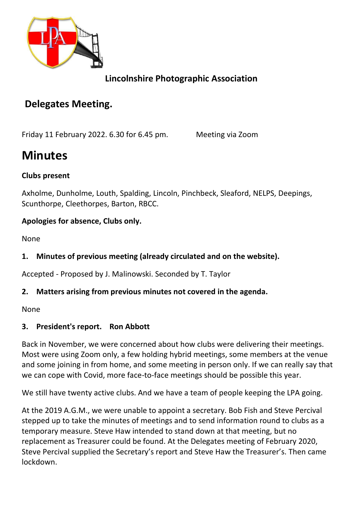

# **Lincolnshire Photographic Association**

# **Delegates Meeting.**

Friday 11 February 2022. 6.30 for 6.45 pm. Meeting via Zoom

# **Minutes**

#### **Clubs present**

Axholme, Dunholme, Louth, Spalding, Lincoln, Pinchbeck, Sleaford, NELPS, Deepings, Scunthorpe, Cleethorpes, Barton, RBCC.

#### **Apologies for absence, Clubs only.**

None

# **1. Minutes of previous meeting (already circulated and on the website).**

Accepted - Proposed by J. Malinowski. Seconded by T. Taylor

#### **2. Matters arising from previous minutes not covered in the agenda.**

None

#### **3. President's report. Ron Abbott**

Back in November, we were concerned about how clubs were delivering their meetings. Most were using Zoom only, a few holding hybrid meetings, some members at the venue and some joining in from home, and some meeting in person only. If we can really say that we can cope with Covid, more face-to-face meetings should be possible this year.

We still have twenty active clubs. And we have a team of people keeping the LPA going.

At the 2019 A.G.M., we were unable to appoint a secretary. Bob Fish and Steve Percival stepped up to take the minutes of meetings and to send information round to clubs as a temporary measure. Steve Haw intended to stand down at that meeting, but no replacement as Treasurer could be found. At the Delegates meeting of February 2020, Steve Percival supplied the Secretary's report and Steve Haw the Treasurer's. Then came lockdown.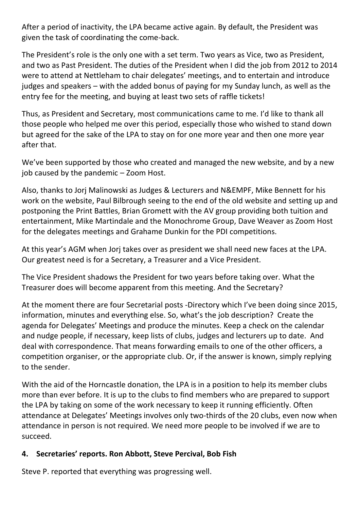After a period of inactivity, the LPA became active again. By default, the President was given the task of coordinating the come-back.

The President's role is the only one with a set term. Two years as Vice, two as President, and two as Past President. The duties of the President when I did the job from 2012 to 2014 were to attend at Nettleham to chair delegates' meetings, and to entertain and introduce judges and speakers – with the added bonus of paying for my Sunday lunch, as well as the entry fee for the meeting, and buying at least two sets of raffle tickets!

Thus, as President and Secretary, most communications came to me. I'd like to thank all those people who helped me over this period, especially those who wished to stand down but agreed for the sake of the LPA to stay on for one more year and then one more year after that.

We've been supported by those who created and managed the new website, and by a new job caused by the pandemic – Zoom Host.

Also, thanks to Jorj Malinowski as Judges & Lecturers and N&EMPF, Mike Bennett for his work on the website, Paul Bilbrough seeing to the end of the old website and setting up and postponing the Print Battles, Brian Gromett with the AV group providing both tuition and entertainment, Mike Martindale and the Monochrome Group, Dave Weaver as Zoom Host for the delegates meetings and Grahame Dunkin for the PDI competitions.

At this year's AGM when Jorj takes over as president we shall need new faces at the LPA. Our greatest need is for a Secretary, a Treasurer and a Vice President.

The Vice President shadows the President for two years before taking over. What the Treasurer does will become apparent from this meeting. And the Secretary?

At the moment there are four Secretarial posts -Directory which I've been doing since 2015, information, minutes and everything else. So, what's the job description? Create the agenda for Delegates' Meetings and produce the minutes. Keep a check on the calendar and nudge people, if necessary, keep lists of clubs, judges and lecturers up to date. And deal with correspondence. That means forwarding emails to one of the other officers, a competition organiser, or the appropriate club. Or, if the answer is known, simply replying to the sender.

With the aid of the Horncastle donation, the LPA is in a position to help its member clubs more than ever before. It is up to the clubs to find members who are prepared to support the LPA by taking on some of the work necessary to keep it running efficiently. Often attendance at Delegates' Meetings involves only two-thirds of the 20 clubs, even now when attendance in person is not required. We need more people to be involved if we are to succeed.

#### **4. Secretaries' reports. Ron Abbott, Steve Percival, Bob Fish**

Steve P. reported that everything was progressing well.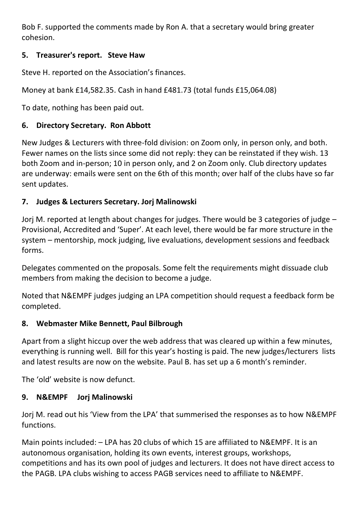Bob F. supported the comments made by Ron A. that a secretary would bring greater cohesion.

# **5. Treasurer's report. Steve Haw**

Steve H. reported on the Association's finances.

Money at bank £14,582.35. Cash in hand £481.73 (total funds £15,064.08)

To date, nothing has been paid out.

# **6. Directory Secretary. Ron Abbott**

New Judges & Lecturers with three-fold division: on Zoom only, in person only, and both. Fewer names on the lists since some did not reply: they can be reinstated if they wish. 13 both Zoom and in-person; 10 in person only, and 2 on Zoom only. Club directory updates are underway: emails were sent on the 6th of this month; over half of the clubs have so far sent updates.

#### **7. Judges & Lecturers Secretary. Jorj Malinowski**

Jorj M. reported at length about changes for judges. There would be 3 categories of judge – Provisional, Accredited and 'Super'. At each level, there would be far more structure in the system – mentorship, mock judging, live evaluations, development sessions and feedback forms.

Delegates commented on the proposals. Some felt the requirements might dissuade club members from making the decision to become a judge.

Noted that N&EMPF judges judging an LPA competition should request a feedback form be completed.

#### **8. Webmaster Mike Bennett, Paul Bilbrough**

Apart from a slight hiccup over the web address that was cleared up within a few minutes, everything is running well. Bill for this year's hosting is paid. The new judges/lecturers lists and latest results are now on the website. Paul B. has set up a 6 month's reminder.

The 'old' website is now defunct.

# **9. N&EMPF Jorj Malinowski**

Jorj M. read out his 'View from the LPA' that summerised the responses as to how N&EMPF functions.

Main points included: – LPA has 20 clubs of which 15 are affiliated to N&EMPF. It is an autonomous organisation, holding its own events, interest groups, workshops, competitions and has its own pool of judges and lecturers. It does not have direct access to the PAGB. LPA clubs wishing to access PAGB services need to affiliate to N&EMPF.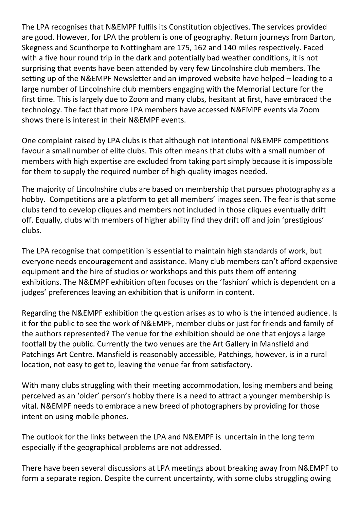The LPA recognises that N&EMPF fulfils its Constitution objectives. The services provided are good. However, for LPA the problem is one of geography. Return journeys from Barton, Skegness and Scunthorpe to Nottingham are 175, 162 and 140 miles respectively. Faced with a five hour round trip in the dark and potentially bad weather conditions, it is not surprising that events have been attended by very few Lincolnshire club members. The setting up of the N&EMPF Newsletter and an improved website have helped – leading to a large number of Lincolnshire club members engaging with the Memorial Lecture for the first time. This is largely due to Zoom and many clubs, hesitant at first, have embraced the technology. The fact that more LPA members have accessed N&EMPF events via Zoom shows there is interest in their N&EMPF events.

One complaint raised by LPA clubs is that although not intentional N&EMPF competitions favour a small number of elite clubs. This often means that clubs with a small number of members with high expertise are excluded from taking part simply because it is impossible for them to supply the required number of high-quality images needed.

The majority of Lincolnshire clubs are based on membership that pursues photography as a hobby. Competitions are a platform to get all members' images seen. The fear is that some clubs tend to develop cliques and members not included in those cliques eventually drift off. Equally, clubs with members of higher ability find they drift off and join 'prestigious' clubs.

The LPA recognise that competition is essential to maintain high standards of work, but everyone needs encouragement and assistance. Many club members can't afford expensive equipment and the hire of studios or workshops and this puts them off entering exhibitions. The N&EMPF exhibition often focuses on the 'fashion' which is dependent on a judges' preferences leaving an exhibition that is uniform in content.

Regarding the N&EMPF exhibition the question arises as to who is the intended audience. Is it for the public to see the work of N&EMPF, member clubs or just for friends and family of the authors represented? The venue for the exhibition should be one that enjoys a large footfall by the public. Currently the two venues are the Art Gallery in Mansfield and Patchings Art Centre. Mansfield is reasonably accessible, Patchings, however, is in a rural location, not easy to get to, leaving the venue far from satisfactory.

With many clubs struggling with their meeting accommodation, losing members and being perceived as an 'older' person's hobby there is a need to attract a younger membership is vital. N&EMPF needs to embrace a new breed of photographers by providing for those intent on using mobile phones.

The outlook for the links between the LPA and N&EMPF is uncertain in the long term especially if the geographical problems are not addressed.

There have been several discussions at LPA meetings about breaking away from N&EMPF to form a separate region. Despite the current uncertainty, with some clubs struggling owing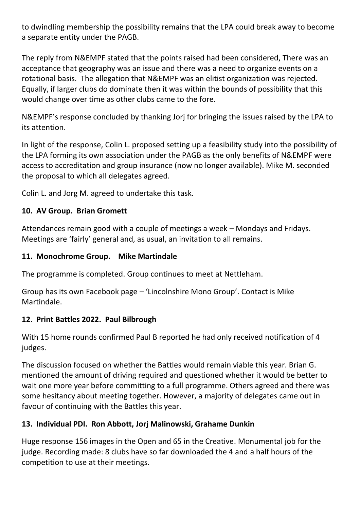to dwindling membership the possibility remains that the LPA could break away to become a separate entity under the PAGB.

The reply from N&EMPF stated that the points raised had been considered, There was an acceptance that geography was an issue and there was a need to organize events on a rotational basis. The allegation that N&EMPF was an elitist organization was rejected. Equally, if larger clubs do dominate then it was within the bounds of possibility that this would change over time as other clubs came to the fore.

N&EMPF's response concluded by thanking Jorj for bringing the issues raised by the LPA to its attention.

In light of the response, Colin L. proposed setting up a feasibility study into the possibility of the LPA forming its own association under the PAGB as the only benefits of N&EMPF were access to accreditation and group insurance (now no longer available). Mike M. seconded the proposal to which all delegates agreed.

Colin L. and Jorg M. agreed to undertake this task.

# **10. AV Group. Brian Gromett**

Attendances remain good with a couple of meetings a week – Mondays and Fridays. Meetings are 'fairly' general and, as usual, an invitation to all remains.

#### **11. Monochrome Group. Mike Martindale**

The programme is completed. Group continues to meet at Nettleham.

Group has its own Facebook page – 'Lincolnshire Mono Group'. Contact is Mike Martindale.

#### **12. Print Battles 2022. Paul Bilbrough**

With 15 home rounds confirmed Paul B reported he had only received notification of 4 judges.

The discussion focused on whether the Battles would remain viable this year. Brian G. mentioned the amount of driving required and questioned whether it would be better to wait one more year before committing to a full programme. Others agreed and there was some hesitancy about meeting together. However, a majority of delegates came out in favour of continuing with the Battles this year.

# **13. Individual PDI. Ron Abbott, Jorj Malinowski, Grahame Dunkin**

Huge response 156 images in the Open and 65 in the Creative. Monumental job for the judge. Recording made: 8 clubs have so far downloaded the 4 and a half hours of the competition to use at their meetings.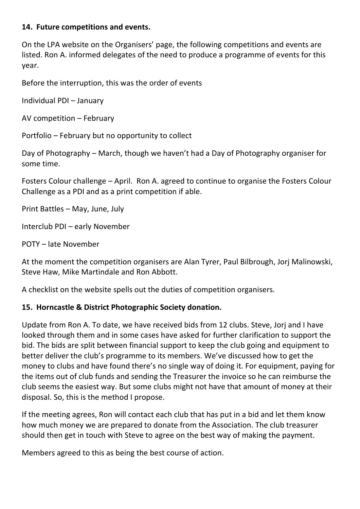#### **14. Future competitions and events.**

On the LPA website on the Organisers' page, the following competitions and events are listed. Ron A. informed delegates of the need to produce a programme of events for this year.

Before the interruption, this was the order of events

Individual PDI – January

AV competition – February

Portfolio – February but no opportunity to collect

Day of Photography – March, though we haven't had a Day of Photography organiser for some time.

Fosters Colour challenge – April. Ron A. agreed to continue to organise the Fosters Colour Challenge as a PDI and as a print competition if able.

Print Battles – May, June, July

Interclub PDI – early November

POTY – late November

At the moment the competition organisers are Alan Tyrer, Paul Bilbrough, Jorj Malinowski, Steve Haw, Mike Martindale and Ron Abbott.

A checklist on the website spells out the duties of competition organisers.

#### **15. Horncastle & District Photographic Society donation.**

Update from Ron A. To date, we have received bids from 12 clubs. Steve, Jorj and I have looked through them and in some cases have asked for further clarification to support the bid. The bids are split between financial support to keep the club going and equipment to better deliver the club's programme to its members. We've discussed how to get the money to clubs and have found there's no single way of doing it. For equipment, paying for the items out of club funds and sending the Treasurer the invoice so he can reimburse the club seems the easiest way. But some clubs might not have that amount of money at their disposal. So, this is the method I propose.

If the meeting agrees, Ron will contact each club that has put in a bid and let them know how much money we are prepared to donate from the Association. The club treasurer should then get in touch with Steve to agree on the best way of making the payment.

Members agreed to this as being the best course of action.